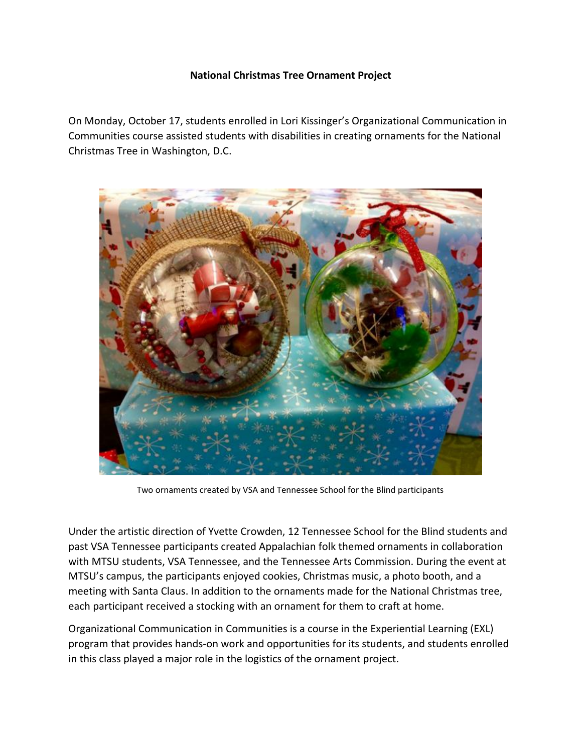## **National Christmas Tree Ornament Project**

On Monday, October 17, students enrolled in Lori Kissinger's Organizational Communication in Communities course assisted students with disabilities in creating ornaments for the National Christmas Tree in Washington, D.C.



Two ornaments created by VSA and Tennessee School for the Blind participants

Under the artistic direction of Yvette Crowden, 12 Tennessee School for the Blind students and past VSA Tennessee participants created Appalachian folk themed ornaments in collaboration with MTSU students, VSA Tennessee, and the Tennessee Arts Commission. During the event at MTSU's campus, the participants enjoyed cookies, Christmas music, a photo booth, and a meeting with Santa Claus. In addition to the ornaments made for the National Christmas tree, each participant received a stocking with an ornament for them to craft at home.

Organizational Communication in Communities is a course in the Experiential Learning (EXL) program that provides hands-on work and opportunities for its students, and students enrolled in this class played a major role in the logistics of the ornament project.